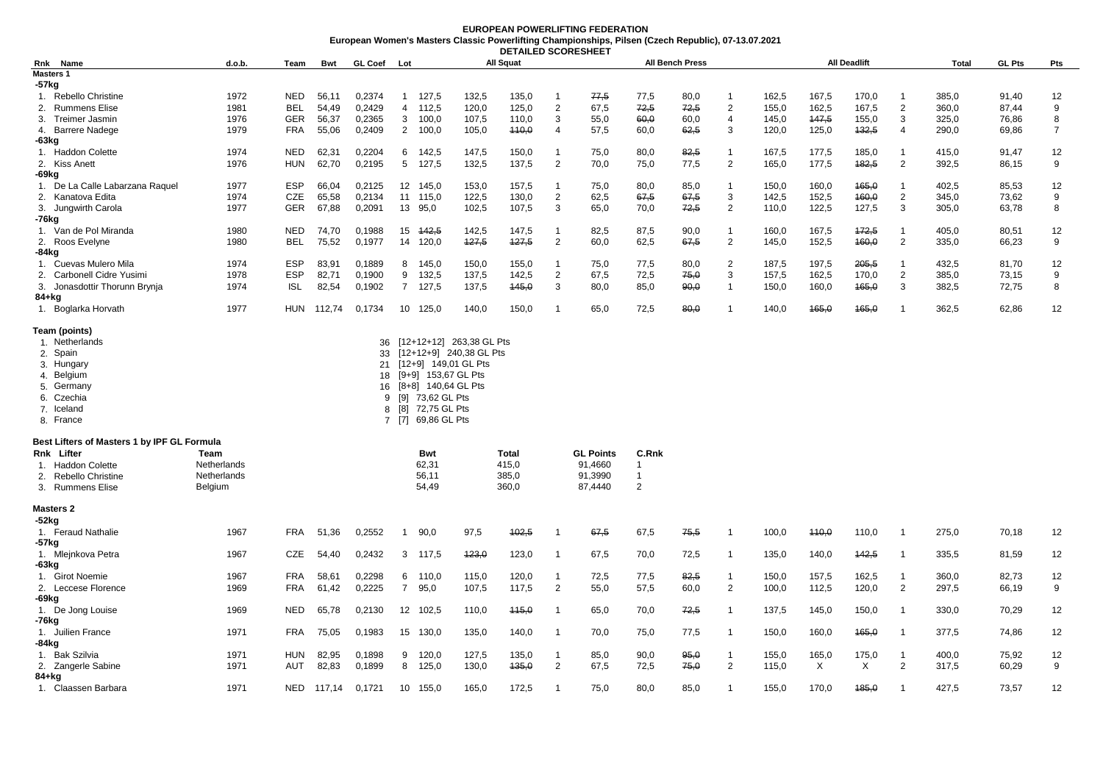## **EUROPEAN POWERLIFTING FEDERATION European Women's Masters Classic Powerlifting Championships, Pilsen (Czech Republic), 07-13.07.2021 DETAILED SCORESHEET**

| Name<br>Rnk                                 | d.o.b.      | Team       | <b>Bwt</b> | <b>GL Coef</b> | Lot             |                          |       | All Squat    |                |                  |                | <b>All Bench Press</b> |                |       |       | <b>All Deadlift</b> |                | <b>Total</b> | <b>GL Pts</b> | Pts            |
|---------------------------------------------|-------------|------------|------------|----------------|-----------------|--------------------------|-------|--------------|----------------|------------------|----------------|------------------------|----------------|-------|-------|---------------------|----------------|--------------|---------------|----------------|
| <b>Masters 1</b>                            |             |            |            |                |                 |                          |       |              |                |                  |                |                        |                |       |       |                     |                |              |               |                |
| $-57$ kg                                    |             |            |            |                |                 |                          |       |              |                |                  |                |                        |                |       |       |                     |                |              |               |                |
| 1. Rebello Christine                        | 1972        | NED        | 56,11      | 0,2374         | $\overline{1}$  | 127,5                    | 132,5 | 135,0        | $\mathbf 1$    | 77,5             | 77,5           | 80,0                   | -1             | 162,5 | 167,5 | 170,0               | $\overline{1}$ | 385,0        | 91,40         | 12             |
| 2. Rummens Elise                            | 1981        | <b>BEL</b> | 54,49      | 0,2429         | $\overline{4}$  | 112,5                    | 120,0 | 125,0        | $\overline{2}$ | 67,5             | 72,5           | 72,5                   | $\overline{2}$ | 155,0 | 162,5 | 167,5               | $\overline{2}$ | 360,0        | 87,44         | 9              |
| 3. Treimer Jasmin                           | 1976        | <b>GER</b> | 56,37      | 0,2365         | $\mathbf{3}$    | 100,0                    | 107,5 | 110,0        | 3              | 55,0             | 60,0           | 60,0                   | $\overline{4}$ | 145,0 | 147,5 | 155,0               | 3              | 325,0        | 76,86         | 8              |
| 4. Barrere Nadege                           | 1979        | <b>FRA</b> | 55,06      | 0,2409         | $\overline{2}$  | 100,0                    | 105,0 | 440,0        | $\overline{4}$ | 57,5             | 60,0           | 62,5                   | 3              | 120,0 | 125,0 | 132,5               | $\overline{4}$ | 290,0        | 69,86         | $\overline{7}$ |
| $-63kg$                                     |             |            |            |                |                 |                          |       |              |                |                  |                |                        |                |       |       |                     |                |              |               |                |
| 1. Haddon Colette                           | 1974        | <b>NED</b> | 62,31      | 0,2204         | 6               | 142,5                    | 147,5 | 150,0        | $\overline{1}$ | 75,0             | 80,0           | 82,5                   | $\mathbf{1}$   | 167,5 | 177,5 | 185,0               | $\overline{1}$ | 415,0        | 91,47         | 12             |
| 2. Kiss Anett                               | 1976        | <b>HUN</b> | 62,70      | 0,2195         | $5\overline{)}$ | 127,5                    | 132,5 | 137,5        | $\overline{2}$ | 70,0             | 75,0           | 77,5                   | $\overline{2}$ | 165,0 | 177,5 | 182,5               | $\overline{2}$ | 392,5        | 86,15         | 9              |
| -69kg                                       |             |            |            |                |                 |                          |       |              |                |                  |                |                        |                |       |       |                     |                |              |               |                |
| 1. De La Calle Labarzana Raquel             | 1977        | <b>ESP</b> | 66,04      | 0,2125         |                 | 12 145,0                 | 153,0 | 157,5        | $\overline{1}$ | 75,0             | 80,0           | 85,0                   | $\overline{1}$ | 150,0 | 160,0 | 465,0               | $\overline{1}$ | 402,5        | 85,53         | 12             |
| 2. Kanatova Edita                           | 1974        | CZE        | 65,58      | 0,2134         |                 | 11 115,0                 | 122,5 | 130,0        | $\overline{2}$ | 62,5             | 67,5           | 67,5                   | 3              | 142,5 | 152,5 | 160,0               | $\overline{2}$ | 345,0        | 73,62         | 9              |
| 3. Jungwirth Carola                         | 1977        | <b>GER</b> | 67,88      | 0,2091         | 13 95,0         |                          | 102,5 | 107,5        | 3              | 65,0             | 70,0           | 72,5                   | $\overline{2}$ | 110,0 | 122,5 | 127,5               | $\mathbf{3}$   | 305,0        | 63,78         | 8              |
| -76kg                                       |             |            |            |                |                 |                          |       |              |                |                  |                |                        |                |       |       |                     |                |              |               |                |
| 1. Van de Pol Miranda                       | 1980        | <b>NED</b> | 74,70      | 0,1988         |                 | 15 442,5                 | 142,5 | 147,5        | $\overline{1}$ | 82,5             | 87,5           | 90,0                   | $\overline{1}$ | 160,0 | 167,5 | 172,5               | $\overline{1}$ | 405,0        | 80,51         | 12             |
| 2. Roos Evelyne                             | 1980        | BEL        | 75,52      | 0,1977         |                 | 14 120,0                 | 427,5 | 127,5        | $\overline{2}$ | 60,0             | 62,5           | 67,5                   | $\overline{2}$ | 145,0 | 152,5 | 460,0               | $\overline{2}$ | 335,0        | 66,23         | 9              |
| -84kg                                       |             |            |            |                |                 |                          |       |              |                |                  |                |                        |                |       |       |                     |                |              |               |                |
| 1. Cuevas Mulero Mila                       | 1974        | <b>ESP</b> | 83,91      | 0,1889         | 8               | 145,0                    | 150,0 | 155,0        | -1             | 75,0             | 77,5           | 80,0                   | 2              | 187,5 | 197,5 | 205,5               | $\overline{1}$ | 432,5        | 81,70         | 12             |
| 2. Carbonell Cidre Yusimi                   | 1978        | <b>ESP</b> | 82,71      | 0,1900         | 9               | 132,5                    | 137,5 | 142,5        | $\overline{2}$ | 67,5             | 72,5           | 75,0                   | 3              | 157,5 | 162,5 | 170,0               | 2              | 385,0        | 73,15         | 9              |
| 3. Jonasdottir Thorunn Brynja               | 1974        | <b>ISL</b> | 82,54      | 0,1902         | $\overline{7}$  | 127,5                    | 137,5 | 445,0        | 3              | 80,0             | 85,0           | 90,0                   | $\mathbf{1}$   | 150,0 | 160,0 | 165,0               | 3              | 382,5        | 72,75         | 8              |
| 84+kg                                       |             |            |            |                |                 |                          |       |              |                |                  |                |                        |                |       |       |                     |                |              |               |                |
| 1. Boglarka Horvath                         | 1977        | HUN        | 112,74     | 0,1734         |                 | 10 125,0                 | 140,0 | 150,0        | $\mathbf{1}$   | 65,0             | 72,5           | 80,0                   | -1             | 140,0 | 465,0 | 465,0               | -1             | 362,5        | 62,86         | 12             |
| Team (points)                               |             |            |            |                |                 |                          |       |              |                |                  |                |                        |                |       |       |                     |                |              |               |                |
| 1. Netherlands                              |             |            |            | 36             |                 | [12+12+12] 263,38 GL Pts |       |              |                |                  |                |                        |                |       |       |                     |                |              |               |                |
| 2. Spain                                    |             |            |            | 33             |                 | [12+12+9] 240,38 GL Pts  |       |              |                |                  |                |                        |                |       |       |                     |                |              |               |                |
| 3. Hungary                                  |             |            |            | 21             |                 | [12+9] 149,01 GL Pts     |       |              |                |                  |                |                        |                |       |       |                     |                |              |               |                |
| 4. Belgium                                  |             |            |            | 18             |                 | [9+9] 153,67 GL Pts      |       |              |                |                  |                |                        |                |       |       |                     |                |              |               |                |
| 5. Germany                                  |             |            |            | 16             |                 | [8+8] 140,64 GL Pts      |       |              |                |                  |                |                        |                |       |       |                     |                |              |               |                |
| 6. Czechia                                  |             |            |            | 9              |                 | [9] 73,62 GL Pts         |       |              |                |                  |                |                        |                |       |       |                     |                |              |               |                |
| 7. Iceland                                  |             |            |            | 8              | [8]             | 72,75 GL Pts             |       |              |                |                  |                |                        |                |       |       |                     |                |              |               |                |
| 8. France                                   |             |            |            | 7              | [7]             | 69,86 GL Pts             |       |              |                |                  |                |                        |                |       |       |                     |                |              |               |                |
| Best Lifters of Masters 1 by IPF GL Formula |             |            |            |                |                 |                          |       |              |                |                  |                |                        |                |       |       |                     |                |              |               |                |
| Rnk Lifter                                  | Team        |            |            |                |                 | Bwt                      |       | <b>Total</b> |                | <b>GL Points</b> | C.Rnk          |                        |                |       |       |                     |                |              |               |                |
| 1. Haddon Colette                           | Netherlands |            |            |                |                 | 62,31                    |       | 415,0        |                | 91,4660          | $\mathbf{1}$   |                        |                |       |       |                     |                |              |               |                |
| 2. Rebello Christine                        | Netherlands |            |            |                |                 | 56,11                    |       | 385,0        |                | 91,3990          | -1             |                        |                |       |       |                     |                |              |               |                |
| 3. Rummens Elise                            | Belgium     |            |            |                |                 | 54,49                    |       | 360,0        |                | 87,4440          | $\overline{2}$ |                        |                |       |       |                     |                |              |               |                |
| <b>Masters 2</b>                            |             |            |            |                |                 |                          |       |              |                |                  |                |                        |                |       |       |                     |                |              |               |                |
| -52kg                                       |             |            |            |                |                 |                          |       |              |                |                  |                |                        |                |       |       |                     |                |              |               |                |
| 1. Feraud Nathalie                          | 1967        | <b>FRA</b> | 51,36      | 0,2552         | -1              | 90,0                     | 97,5  | 402,5        | $\mathbf{1}$   | 67,5             | 67,5           | 75,5                   | -1             | 100,0 | 440,0 | 110,0               | -1             | 275,0        | 70,18         | 12             |
| -57kg                                       |             |            |            |                |                 |                          |       |              |                |                  |                |                        |                |       |       |                     |                |              |               |                |
| 1. Mlejnkova Petra                          | 1967        | CZE        | 54,40      | 0,2432         |                 | 3 117,5                  | 423,0 | 123,0        | $\overline{1}$ | 67,5             | 70,0           | 72,5                   | $\overline{1}$ | 135,0 | 140,0 | 142,5               | $\overline{1}$ | 335,5        | 81,59         | 12             |
| -63kg                                       |             |            |            |                |                 |                          |       |              |                |                  |                |                        |                |       |       |                     |                |              |               |                |
| 1. Girot Noemie                             | 1967        | <b>FRA</b> | 58,61      | 0,2298         | 6               | 110,0                    | 115,0 | 120,0        | $\mathbf 1$    | 72,5             | 77,5           | 82,5                   | -1             | 150,0 | 157,5 | 162,5               | $\overline{1}$ | 360,0        | 82,73         | 12             |
| 2. Leccese Florence                         | 1969        | <b>FRA</b> | 61,42      | 0,2225         | $\overline{7}$  | 95,0                     | 107,5 | 117,5        | $\overline{2}$ | 55,0             | 57,5           | 60,0                   | $\overline{2}$ | 100,0 | 112,5 | 120,0               | $\overline{2}$ | 297,5        | 66,19         | 9              |
| -69kg                                       |             |            |            |                |                 |                          |       |              |                |                  |                |                        |                |       |       |                     |                |              |               |                |
| 1. De Jong Louise                           | 1969        | <b>NED</b> | 65,78      | 0,2130         |                 | 12 102,5                 | 110,0 | 445,0        | $\overline{1}$ | 65,0             | 70,0           | 72,5                   | $\overline{1}$ | 137,5 | 145,0 | 150,0               | $\overline{1}$ | 330,0        | 70,29         | 12             |
| -76kg                                       |             |            |            |                |                 |                          |       |              |                |                  |                |                        |                |       |       |                     |                |              |               |                |
| 1. Juilien France                           | 1971        | <b>FRA</b> | 75,05      | 0,1983         |                 | 15 130,0                 | 135,0 | 140,0        | $\overline{1}$ | 70,0             | 75,0           | 77,5                   | -1             | 150,0 | 160,0 | 465,0               | $\overline{1}$ | 377,5        | 74,86         | 12             |
| -84kg                                       |             |            |            |                |                 |                          |       |              |                |                  |                |                        |                |       |       |                     |                |              |               |                |
| 1. Bak Szilvia                              | 1971        | <b>HUN</b> | 82,95      | 0,1898         | 9               | 120.0                    | 127,5 | 135,0        | $\overline{1}$ | 85.0             | 90.0           | 95.0                   | -1             | 155,0 | 165,0 | 175,0               | -1             | 400,0        | 75,92         | 12             |
| 2. Zangerle Sabine                          | 1971        | <b>AUT</b> | 82,83      | 0,1899         |                 | 8 125,0                  | 130,0 | 135,0        | $\overline{2}$ | 67,5             | 72,5           | 75,0                   | 2              | 115,0 | X     | X                   | $\overline{2}$ | 317,5        | 60,29         | 9              |
| 84+kg                                       |             |            |            |                |                 |                          |       |              |                |                  |                |                        |                |       |       |                     |                |              |               |                |
| 1. Claassen Barbara                         | 1971        | <b>NED</b> | 117,14     | 0,1721         |                 | 10 155,0                 | 165,0 | 172,5        | $\overline{1}$ | 75,0             | 80,0           | 85,0                   | $\overline{1}$ | 155,0 | 170,0 | 185,0               | $\overline{1}$ | 427,5        | 73,57         | 12             |
|                                             |             |            |            |                |                 |                          |       |              |                |                  |                |                        |                |       |       |                     |                |              |               |                |